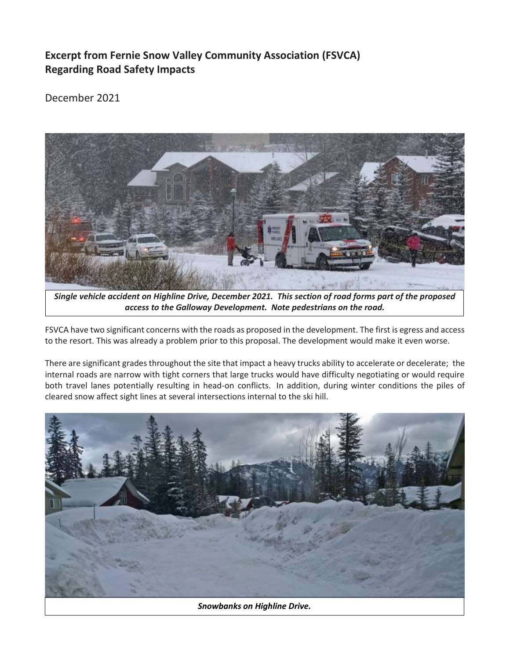## **Excerpt from Fernie Snow Valley Community Association (FSVCA) Regarding Road Safety Impacts**

## December 2021



*Single vehicle accident on Highline Drive, December 2021. This section of road forms part of the proposed access to the Galloway Development. Note pedestrians on the road.*

FSVCA have two significant concerns with the roads as proposed in the development. The first is egress and access to the resort. This was already a problem prior to this proposal. The development would make it even worse.

There are significant grades throughout the site that impact a heavy trucks ability to accelerate or decelerate; the internal roads are narrow with tight corners that large trucks would have difficulty negotiating or would require both travel lanes potentially resulting in head-on conflicts. In addition, during winter conditions the piles of cleared snow affect sight lines at several intersections internal to the ski hill.

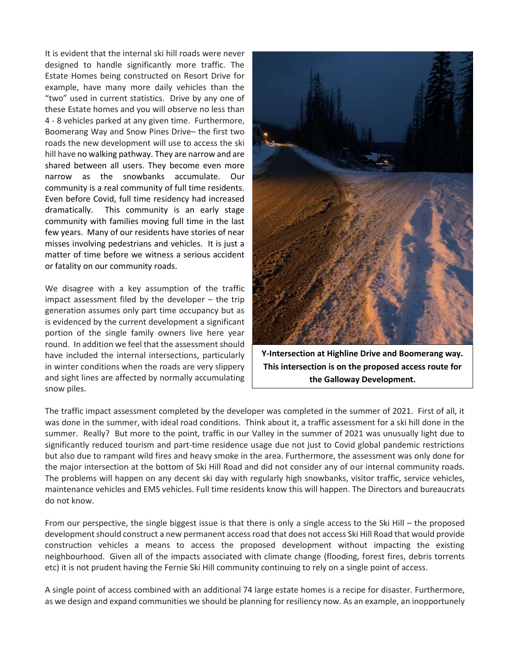It is evident that the internal ski hill roads were never designed to handle significantly more traffic. The Estate Homes being constructed on Resort Drive for example, have many more daily vehicles than the "two" used in current statistics. Drive by any one of these Estate homes and you will observe no less than 4 - 8 vehicles parked at any given time. Furthermore, Boomerang Way and Snow Pines Drive– the first two roads the new development will use to access the ski hill have no walking pathway. They are narrow and are shared between all users. They become even more narrow as the snowbanks accumulate. Our community is a real community of full time residents. Even before Covid, full time residency had increased dramatically. This community is an early stage community with families moving full time in the last few years. Many of our residents have stories of near misses involving pedestrians and vehicles. It is just a matter of time before we witness a serious accident or fatality on our community roads.

We disagree with a key assumption of the traffic impact assessment filed by the developer – the trip generation assumes only part time occupancy but as is evidenced by the current development a significant portion of the single family owners live here year round. In addition we feel that the assessment should have included the internal intersections, particularly in winter conditions when the roads are very slippery and sight lines are affected by normally accumulating snow piles.



**Y-Intersection at Highline Drive and Boomerang way. This intersection is on the proposed access route for the Galloway Development.**

The traffic impact assessment completed by the developer was completed in the summer of 2021. First of all, it was done in the summer, with ideal road conditions. Think about it, a traffic assessment for a ski hill done in the summer. Really? But more to the point, traffic in our Valley in the summer of 2021 was unusually light due to significantly reduced tourism and part-time residence usage due not just to Covid global pandemic restrictions but also due to rampant wild fires and heavy smoke in the area. Furthermore, the assessment was only done for the major intersection at the bottom of Ski Hill Road and did not consider any of our internal community roads. The problems will happen on any decent ski day with regularly high snowbanks, visitor traffic, service vehicles, maintenance vehicles and EMS vehicles. Full time residents know this will happen. The Directors and bureaucrats do not know.

From our perspective, the single biggest issue is that there is only a single access to the Ski Hill – the proposed development should construct a new permanent access road that does not access Ski Hill Road that would provide construction vehicles a means to access the proposed development without impacting the existing neighbourhood. Given all of the impacts associated with climate change (flooding, forest fires, debris torrents etc) it is not prudent having the Fernie Ski Hill community continuing to rely on a single point of access.

A single point of access combined with an additional 74 large estate homes is a recipe for disaster. Furthermore, as we design and expand communities we should be planning for resiliency now. As an example, an inopportunely